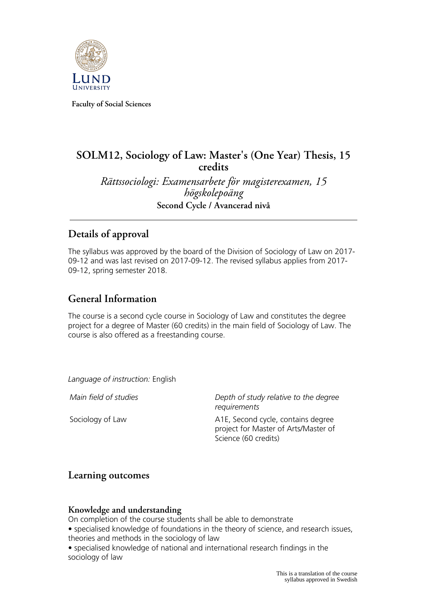

**Faculty of Social Sciences**

# **SOLM12, Sociology of Law: Master's (One Year) Thesis, 15 credits**

*Rättssociologi: Examensarbete för magisterexamen, 15 högskolepoäng* **Second Cycle / Avancerad nivå**

### **Details of approval**

The syllabus was approved by the board of the Division of Sociology of Law on 2017- 09-12 and was last revised on 2017-09-12. The revised syllabus applies from 2017- 09-12, spring semester 2018.

### **General Information**

The course is a second cycle course in Sociology of Law and constitutes the degree project for a degree of Master (60 credits) in the main field of Sociology of Law. The course is also offered as a freestanding course.

*Language of instruction:* English

*Main field of studies Depth of study relative to the degree requirements*

Sociology of Law The Matter Contains degree A1E, Second cycle, contains degree project for Master of Arts/Master of Science (60 credits)

### **Learning outcomes**

#### **Knowledge and understanding**

On completion of the course students shall be able to demonstrate

• specialised knowledge of foundations in the theory of science, and research issues, theories and methods in the sociology of law

• specialised knowledge of national and international research findings in the sociology of law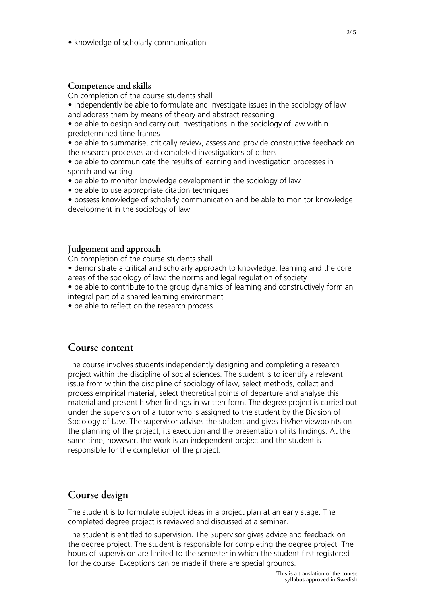• knowledge of scholarly communication

#### **Competence and skills**

On completion of the course students shall

• independently be able to formulate and investigate issues in the sociology of law and address them by means of theory and abstract reasoning

• be able to design and carry out investigations in the sociology of law within predetermined time frames

• be able to summarise, critically review, assess and provide constructive feedback on the research processes and completed investigations of others

• be able to communicate the results of learning and investigation processes in speech and writing

- be able to monitor knowledge development in the sociology of law
- be able to use appropriate citation techniques
- possess knowledge of scholarly communication and be able to monitor knowledge development in the sociology of law

#### **Judgement and approach**

On completion of the course students shall

• demonstrate a critical and scholarly approach to knowledge, learning and the core areas of the sociology of law: the norms and legal regulation of society

• be able to contribute to the group dynamics of learning and constructively form an integral part of a shared learning environment

• be able to reflect on the research process

#### **Course content**

The course involves students independently designing and completing a research project within the discipline of social sciences. The student is to identify a relevant issue from within the discipline of sociology of law, select methods, collect and process empirical material, select theoretical points of departure and analyse this material and present his/her findings in written form. The degree project is carried out under the supervision of a tutor who is assigned to the student by the Division of Sociology of Law. The supervisor advises the student and gives his/her viewpoints on the planning of the project, its execution and the presentation of its findings. At the same time, however, the work is an independent project and the student is responsible for the completion of the project.

### **Course design**

The student is to formulate subject ideas in a project plan at an early stage. The completed degree project is reviewed and discussed at a seminar.

The student is entitled to supervision. The Supervisor gives advice and feedback on the degree project. The student is responsible for completing the degree project. The hours of supervision are limited to the semester in which the student first registered for the course. Exceptions can be made if there are special grounds.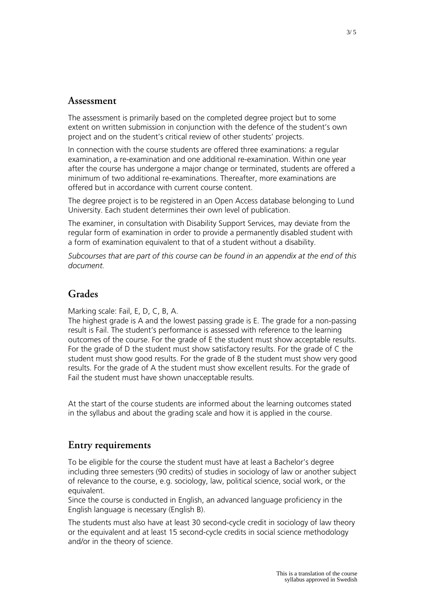#### **Assessment**

The assessment is primarily based on the completed degree project but to some extent on written submission in conjunction with the defence of the student's own project and on the student's critical review of other students' projects.

In connection with the course students are offered three examinations: a regular examination, a re-examination and one additional re-examination. Within one year after the course has undergone a major change or terminated, students are offered a minimum of two additional re-examinations. Thereafter, more examinations are offered but in accordance with current course content.

The degree project is to be registered in an Open Access database belonging to Lund University. Each student determines their own level of publication.

The examiner, in consultation with Disability Support Services, may deviate from the regular form of examination in order to provide a permanently disabled student with a form of examination equivalent to that of a student without a disability.

*Subcourses that are part of this course can be found in an appendix at the end of this document.*

#### **Grades**

Marking scale: Fail, E, D, C, B, A.

The highest grade is A and the lowest passing grade is E. The grade for a non-passing result is Fail. The student's performance is assessed with reference to the learning outcomes of the course. For the grade of E the student must show acceptable results. For the grade of D the student must show satisfactory results. For the grade of C the student must show good results. For the grade of B the student must show very good results. For the grade of A the student must show excellent results. For the grade of Fail the student must have shown unacceptable results.

At the start of the course students are informed about the learning outcomes stated in the syllabus and about the grading scale and how it is applied in the course.

#### **Entry requirements**

To be eligible for the course the student must have at least a Bachelor's degree including three semesters (90 credits) of studies in sociology of law or another subject of relevance to the course, e.g. sociology, law, political science, social work, or the equivalent.

Since the course is conducted in English, an advanced language proficiency in the English language is necessary (English B).

The students must also have at least 30 second-cycle credit in sociology of law theory or the equivalent and at least 15 second-cycle credits in social science methodology and/or in the theory of science.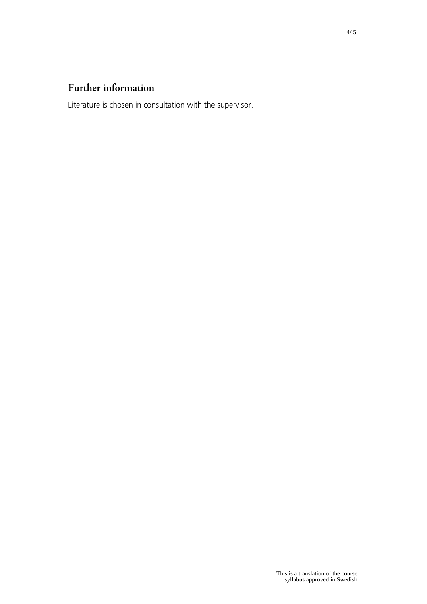## **Further information**

Literature is chosen in consultation with the supervisor.